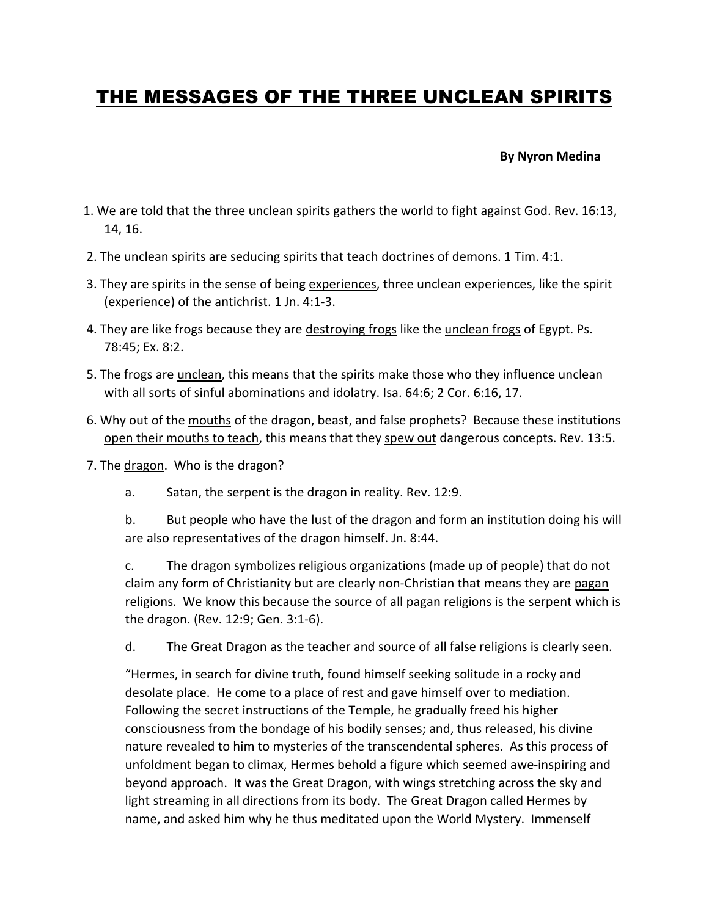# THE MESSAGES OF THE THREE UNCLEAN SPIRITS

### **By Nyron Medina**

- 1. We are told that the three unclean spirits gathers the world to fight against God. Rev. 16:13, 14, 16.
- 2. The unclean spirits are seducing spirits that teach doctrines of demons. 1 Tim. 4:1.
- 3. They are spirits in the sense of being experiences, three unclean experiences, like the spirit (experience) of the antichrist. 1 Jn. 4:1-3.
- 4. They are like frogs because they are destroying frogs like the unclean frogs of Egypt. Ps. 78:45; Ex. 8:2.
- 5. The frogs are unclean, this means that the spirits make those who they influence unclean with all sorts of sinful abominations and idolatry. Isa. 64:6; 2 Cor. 6:16, 17.
- 6. Why out of the mouths of the dragon, beast, and false prophets? Because these institutions open their mouths to teach, this means that they spew out dangerous concepts. Rev. 13:5.
- 7. The dragon. Who is the dragon?
	- a. Satan, the serpent is the dragon in reality. Rev. 12:9.

 b. But people who have the lust of the dragon and form an institution doing his will are also representatives of the dragon himself. Jn. 8:44.

 c. The dragon symbolizes religious organizations (made up of people) that do not claim any form of Christianity but are clearly non-Christian that means they are pagan religions. We know this because the source of all pagan religions is the serpent which is the dragon. (Rev. 12:9; Gen. 3:1-6).

d. The Great Dragon as the teacher and source of all false religions is clearly seen.

 "Hermes, in search for divine truth, found himself seeking solitude in a rocky and desolate place. He come to a place of rest and gave himself over to mediation. Following the secret instructions of the Temple, he gradually freed his higher consciousness from the bondage of his bodily senses; and, thus released, his divine nature revealed to him to mysteries of the transcendental spheres. As this process of unfoldment began to climax, Hermes behold a figure which seemed awe-inspiring and beyond approach. It was the Great Dragon, with wings stretching across the sky and light streaming in all directions from its body. The Great Dragon called Hermes by name, and asked him why he thus meditated upon the World Mystery. Immenself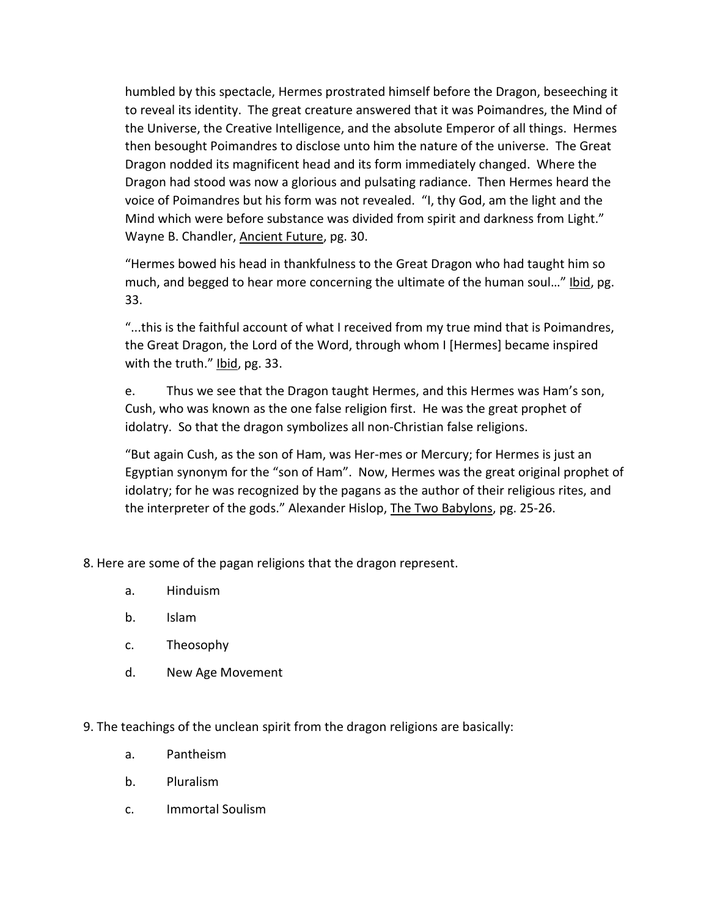humbled by this spectacle, Hermes prostrated himself before the Dragon, beseeching it to reveal its identity. The great creature answered that it was Poimandres, the Mind of the Universe, the Creative Intelligence, and the absolute Emperor of all things. Hermes then besought Poimandres to disclose unto him the nature of the universe. The Great Dragon nodded its magnificent head and its form immediately changed. Where the Dragon had stood was now a glorious and pulsating radiance. Then Hermes heard the voice of Poimandres but his form was not revealed. "I, thy God, am the light and the Mind which were before substance was divided from spirit and darkness from Light." Wayne B. Chandler, Ancient Future, pg. 30.

 "Hermes bowed his head in thankfulness to the Great Dragon who had taught him so much, and begged to hear more concerning the ultimate of the human soul…" Ibid, pg. 33.

 "...this is the faithful account of what I received from my true mind that is Poimandres, the Great Dragon, the Lord of the Word, through whom I [Hermes] became inspired with the truth." Ibid, pg. 33.

 e. Thus we see that the Dragon taught Hermes, and this Hermes was Ham's son, Cush, who was known as the one false religion first. He was the great prophet of idolatry. So that the dragon symbolizes all non-Christian false religions.

 "But again Cush, as the son of Ham, was Her-mes or Mercury; for Hermes is just an Egyptian synonym for the "son of Ham". Now, Hermes was the great original prophet of idolatry; for he was recognized by the pagans as the author of their religious rites, and the interpreter of the gods." Alexander Hislop, The Two Babylons, pg. 25-26.

8. Here are some of the pagan religions that the dragon represent.

- a. Hinduism
- b. Islam
- c. Theosophy
- d. New Age Movement

9. The teachings of the unclean spirit from the dragon religions are basically:

- a. Pantheism
- b. Pluralism
- c. Immortal Soulism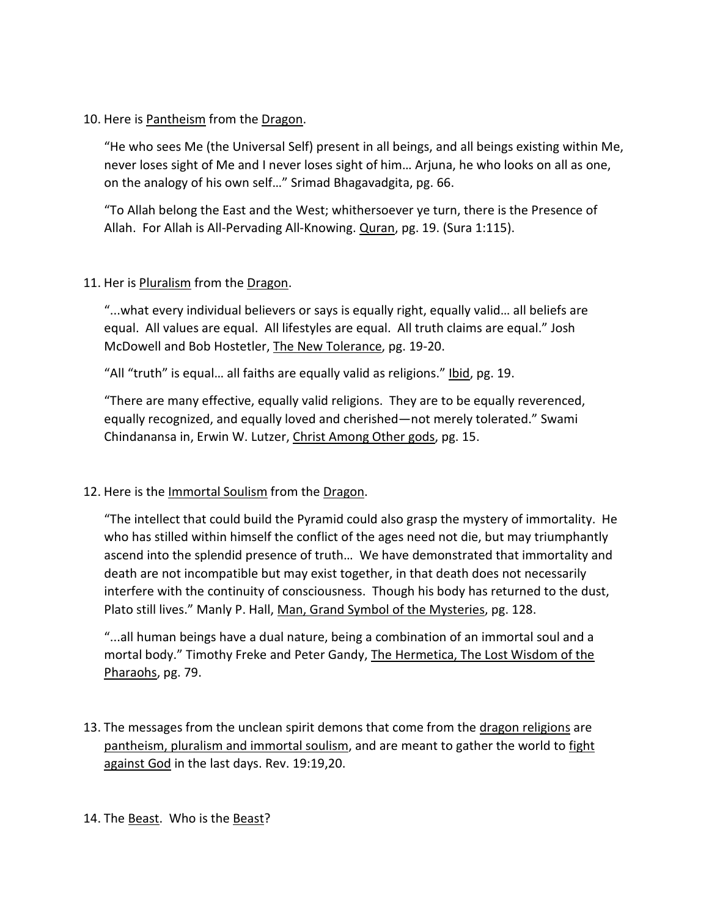## 10. Here is Pantheism from the Dragon.

 "He who sees Me (the Universal Self) present in all beings, and all beings existing within Me, never loses sight of Me and I never loses sight of him… Arjuna, he who looks on all as one, on the analogy of his own self…" Srimad Bhagavadgita, pg. 66.

 "To Allah belong the East and the West; whithersoever ye turn, there is the Presence of Allah. For Allah is All-Pervading All-Knowing. Quran, pg. 19. (Sura 1:115).

## 11. Her is Pluralism from the Dragon.

 "...what every individual believers or says is equally right, equally valid… all beliefs are equal. All values are equal. All lifestyles are equal. All truth claims are equal." Josh McDowell and Bob Hostetler, The New Tolerance, pg. 19-20.

"All "truth" is equal... all faiths are equally valid as religions." Ibid, pg. 19.

 "There are many effective, equally valid religions. They are to be equally reverenced, equally recognized, and equally loved and cherished—not merely tolerated." Swami Chindanansa in, Erwin W. Lutzer, Christ Among Other gods, pg. 15.

# 12. Here is the Immortal Soulism from the Dragon.

 "The intellect that could build the Pyramid could also grasp the mystery of immortality. He who has stilled within himself the conflict of the ages need not die, but may triumphantly ascend into the splendid presence of truth… We have demonstrated that immortality and death are not incompatible but may exist together, in that death does not necessarily interfere with the continuity of consciousness. Though his body has returned to the dust, Plato still lives." Manly P. Hall, Man, Grand Symbol of the Mysteries, pg. 128.

 "...all human beings have a dual nature, being a combination of an immortal soul and a mortal body." Timothy Freke and Peter Gandy, The Hermetica, The Lost Wisdom of the Pharaohs, pg. 79.

13. The messages from the unclean spirit demons that come from the dragon religions are pantheism, pluralism and immortal soulism, and are meant to gather the world to fight against God in the last days. Rev. 19:19,20.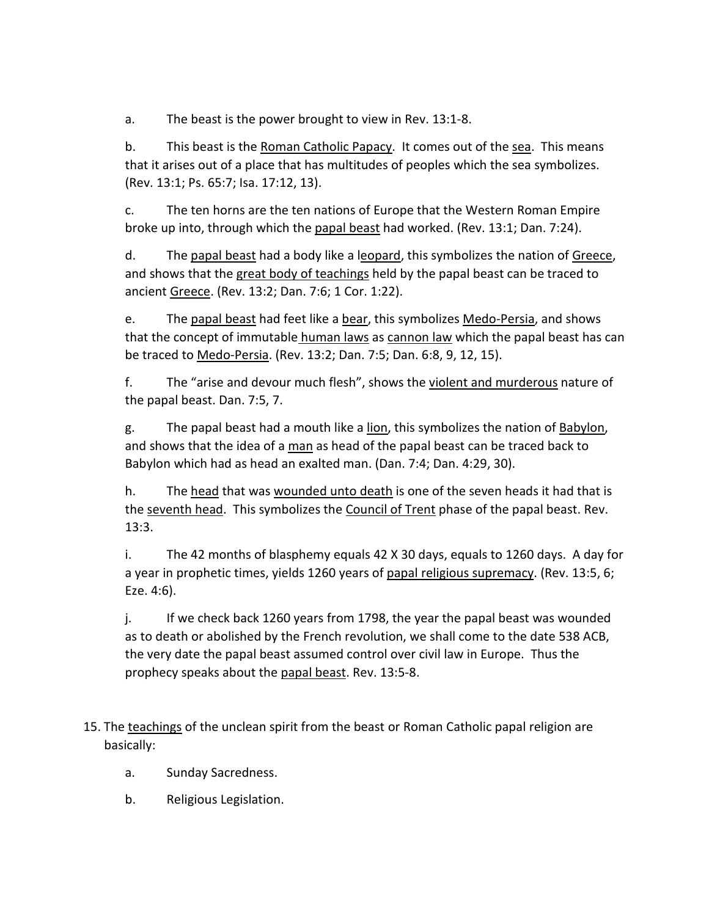a. The beast is the power brought to view in Rev. 13:1-8.

 b. This beast is the Roman Catholic Papacy. It comes out of the sea. This means that it arises out of a place that has multitudes of peoples which the sea symbolizes. (Rev. 13:1; Ps. 65:7; Isa. 17:12, 13).

 c. The ten horns are the ten nations of Europe that the Western Roman Empire broke up into, through which the papal beast had worked. (Rev. 13:1; Dan. 7:24).

 d. The papal beast had a body like a leopard, this symbolizes the nation of Greece, and shows that the great body of teachings held by the papal beast can be traced to ancient Greece. (Rev. 13:2; Dan. 7:6; 1 Cor. 1:22).

 e. The papal beast had feet like a bear, this symbolizes Medo-Persia, and shows that the concept of immutable human laws as cannon law which the papal beast has can be traced to Medo-Persia. (Rev. 13:2; Dan. 7:5; Dan. 6:8, 9, 12, 15).

 f. The "arise and devour much flesh", shows the violent and murderous nature of the papal beast. Dan. 7:5, 7.

 g. The papal beast had a mouth like a lion, this symbolizes the nation of Babylon, and shows that the idea of a man as head of the papal beast can be traced back to Babylon which had as head an exalted man. (Dan. 7:4; Dan. 4:29, 30).

 h. The head that was wounded unto death is one of the seven heads it had that is the seventh head. This symbolizes the Council of Trent phase of the papal beast. Rev. 13:3.

 i. The 42 months of blasphemy equals 42 X 30 days, equals to 1260 days. A day for a year in prophetic times, yields 1260 years of papal religious supremacy. (Rev. 13:5, 6; Eze. 4:6).

 j. If we check back 1260 years from 1798, the year the papal beast was wounded as to death or abolished by the French revolution, we shall come to the date 538 ACB, the very date the papal beast assumed control over civil law in Europe. Thus the prophecy speaks about the papal beast. Rev. 13:5-8.

15. The teachings of the unclean spirit from the beast or Roman Catholic papal religion are basically:

- a. Sunday Sacredness.
- b. Religious Legislation.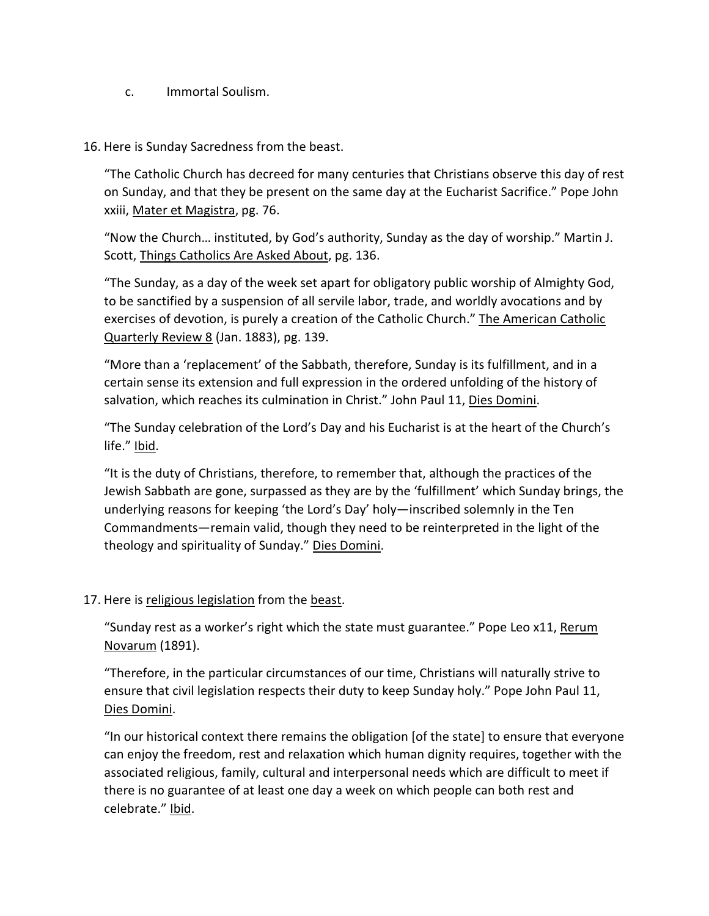- c. Immortal Soulism.
- 16. Here is Sunday Sacredness from the beast.

 "The Catholic Church has decreed for many centuries that Christians observe this day of rest on Sunday, and that they be present on the same day at the Eucharist Sacrifice." Pope John xxiii, Mater et Magistra, pg. 76.

 "Now the Church… instituted, by God's authority, Sunday as the day of worship." Martin J. Scott, Things Catholics Are Asked About, pg. 136.

 "The Sunday, as a day of the week set apart for obligatory public worship of Almighty God, to be sanctified by a suspension of all servile labor, trade, and worldly avocations and by exercises of devotion, is purely a creation of the Catholic Church." The American Catholic Quarterly Review 8 (Jan. 1883), pg. 139.

 "More than a 'replacement' of the Sabbath, therefore, Sunday is its fulfillment, and in a certain sense its extension and full expression in the ordered unfolding of the history of salvation, which reaches its culmination in Christ." John Paul 11, Dies Domini.

 "The Sunday celebration of the Lord's Day and his Eucharist is at the heart of the Church's life." Ibid.

 "It is the duty of Christians, therefore, to remember that, although the practices of the Jewish Sabbath are gone, surpassed as they are by the 'fulfillment' which Sunday brings, the underlying reasons for keeping 'the Lord's Day' holy—inscribed solemnly in the Ten Commandments—remain valid, though they need to be reinterpreted in the light of the theology and spirituality of Sunday." Dies Domini.

17. Here is religious legislation from the beast.

 "Sunday rest as a worker's right which the state must guarantee." Pope Leo x11, Rerum Novarum (1891).

 "Therefore, in the particular circumstances of our time, Christians will naturally strive to ensure that civil legislation respects their duty to keep Sunday holy." Pope John Paul 11, Dies Domini.

 "In our historical context there remains the obligation [of the state] to ensure that everyone can enjoy the freedom, rest and relaxation which human dignity requires, together with the associated religious, family, cultural and interpersonal needs which are difficult to meet if there is no guarantee of at least one day a week on which people can both rest and celebrate." Ibid.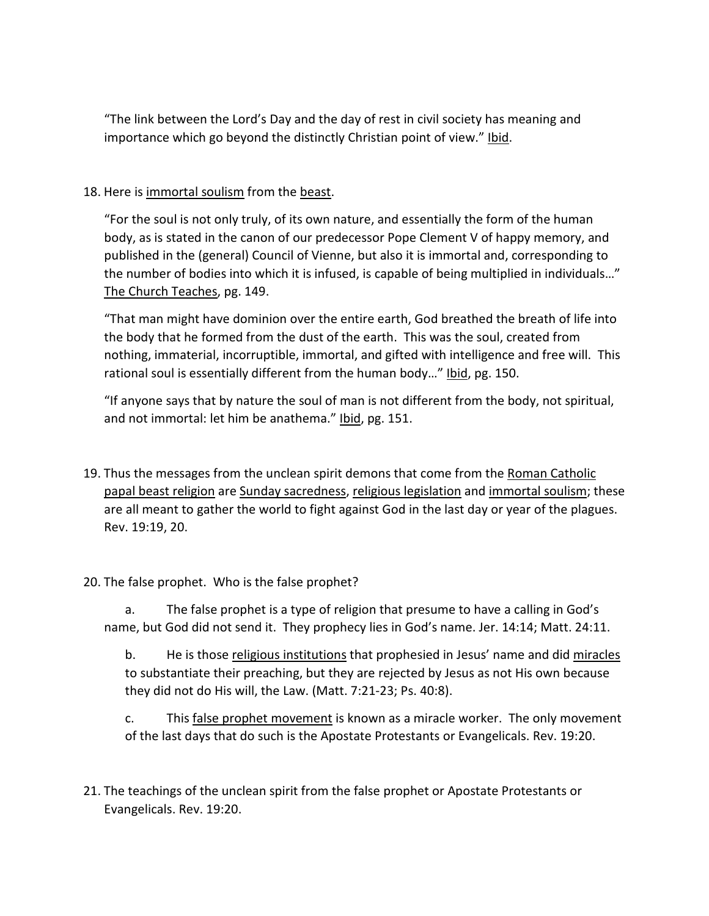"The link between the Lord's Day and the day of rest in civil society has meaning and importance which go beyond the distinctly Christian point of view." Ibid.

## 18. Here is immortal soulism from the beast.

 "For the soul is not only truly, of its own nature, and essentially the form of the human body, as is stated in the canon of our predecessor Pope Clement V of happy memory, and published in the (general) Council of Vienne, but also it is immortal and, corresponding to the number of bodies into which it is infused, is capable of being multiplied in individuals…" The Church Teaches, pg. 149.

 "That man might have dominion over the entire earth, God breathed the breath of life into the body that he formed from the dust of the earth. This was the soul, created from nothing, immaterial, incorruptible, immortal, and gifted with intelligence and free will. This rational soul is essentially different from the human body…" Ibid, pg. 150.

 "If anyone says that by nature the soul of man is not different from the body, not spiritual, and not immortal: let him be anathema." Ibid, pg. 151.

- 19. Thus the messages from the unclean spirit demons that come from the Roman Catholic papal beast religion are Sunday sacredness, religious legislation and immortal soulism; these are all meant to gather the world to fight against God in the last day or year of the plagues. Rev. 19:19, 20.
- 20. The false prophet. Who is the false prophet?

 a. The false prophet is a type of religion that presume to have a calling in God's name, but God did not send it. They prophecy lies in God's name. Jer. 14:14; Matt. 24:11.

b. He is those religious institutions that prophesied in Jesus' name and did miracles to substantiate their preaching, but they are rejected by Jesus as not His own because they did not do His will, the Law. (Matt. 7:21-23; Ps. 40:8).

 c. This false prophet movement is known as a miracle worker. The only movement of the last days that do such is the Apostate Protestants or Evangelicals. Rev. 19:20.

21. The teachings of the unclean spirit from the false prophet or Apostate Protestants or Evangelicals. Rev. 19:20.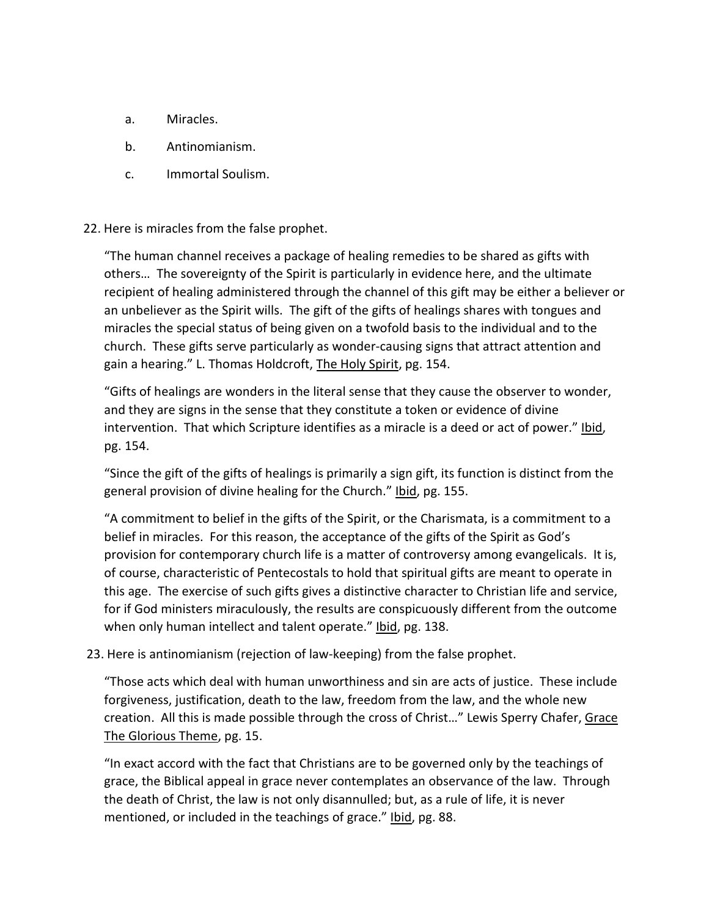- a. Miracles.
- b. Antinomianism.
- c. Immortal Soulism.

### 22. Here is miracles from the false prophet.

 "The human channel receives a package of healing remedies to be shared as gifts with others… The sovereignty of the Spirit is particularly in evidence here, and the ultimate recipient of healing administered through the channel of this gift may be either a believer or an unbeliever as the Spirit wills. The gift of the gifts of healings shares with tongues and miracles the special status of being given on a twofold basis to the individual and to the church. These gifts serve particularly as wonder-causing signs that attract attention and gain a hearing." L. Thomas Holdcroft, The Holy Spirit, pg. 154.

 "Gifts of healings are wonders in the literal sense that they cause the observer to wonder, and they are signs in the sense that they constitute a token or evidence of divine intervention. That which Scripture identifies as a miracle is a deed or act of power." Ibid, pg. 154.

 "Since the gift of the gifts of healings is primarily a sign gift, its function is distinct from the general provision of divine healing for the Church." Ibid, pg. 155.

 "A commitment to belief in the gifts of the Spirit, or the Charismata, is a commitment to a belief in miracles. For this reason, the acceptance of the gifts of the Spirit as God's provision for contemporary church life is a matter of controversy among evangelicals. It is, of course, characteristic of Pentecostals to hold that spiritual gifts are meant to operate in this age. The exercise of such gifts gives a distinctive character to Christian life and service, for if God ministers miraculously, the results are conspicuously different from the outcome when only human intellect and talent operate." Ibid, pg. 138.

23. Here is antinomianism (rejection of law-keeping) from the false prophet.

 "Those acts which deal with human unworthiness and sin are acts of justice. These include forgiveness, justification, death to the law, freedom from the law, and the whole new creation. All this is made possible through the cross of Christ..." Lewis Sperry Chafer, Grace The Glorious Theme, pg. 15.

 "In exact accord with the fact that Christians are to be governed only by the teachings of grace, the Biblical appeal in grace never contemplates an observance of the law. Through the death of Christ, the law is not only disannulled; but, as a rule of life, it is never mentioned, or included in the teachings of grace." Ibid, pg. 88.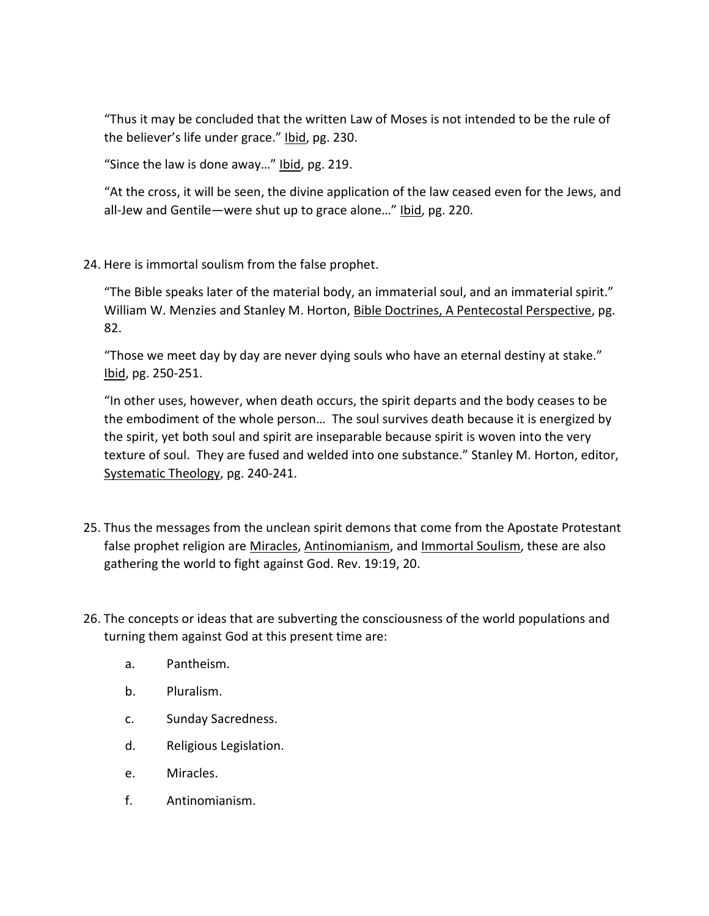"Thus it may be concluded that the written Law of Moses is not intended to be the rule of the believer's life under grace." Ibid, pg. 230.

"Since the law is done away…" Ibid, pg. 219.

 "At the cross, it will be seen, the divine application of the law ceased even for the Jews, and all-Jew and Gentile—were shut up to grace alone…" Ibid, pg. 220.

24. Here is immortal soulism from the false prophet.

 "The Bible speaks later of the material body, an immaterial soul, and an immaterial spirit." William W. Menzies and Stanley M. Horton, Bible Doctrines, A Pentecostal Perspective, pg. 82.

 "Those we meet day by day are never dying souls who have an eternal destiny at stake." Ibid, pg. 250-251.

 "In other uses, however, when death occurs, the spirit departs and the body ceases to be the embodiment of the whole person… The soul survives death because it is energized by the spirit, yet both soul and spirit are inseparable because spirit is woven into the very texture of soul. They are fused and welded into one substance." Stanley M. Horton, editor, Systematic Theology, pg. 240-241.

- 25. Thus the messages from the unclean spirit demons that come from the Apostate Protestant false prophet religion are Miracles, Antinomianism, and Immortal Soulism, these are also gathering the world to fight against God. Rev. 19:19, 20.
- 26. The concepts or ideas that are subverting the consciousness of the world populations and turning them against God at this present time are:
	- a. Pantheism.
	- b. Pluralism.
	- c. Sunday Sacredness.
	- d. Religious Legislation.
	- e. Miracles.
	- f. Antinomianism.